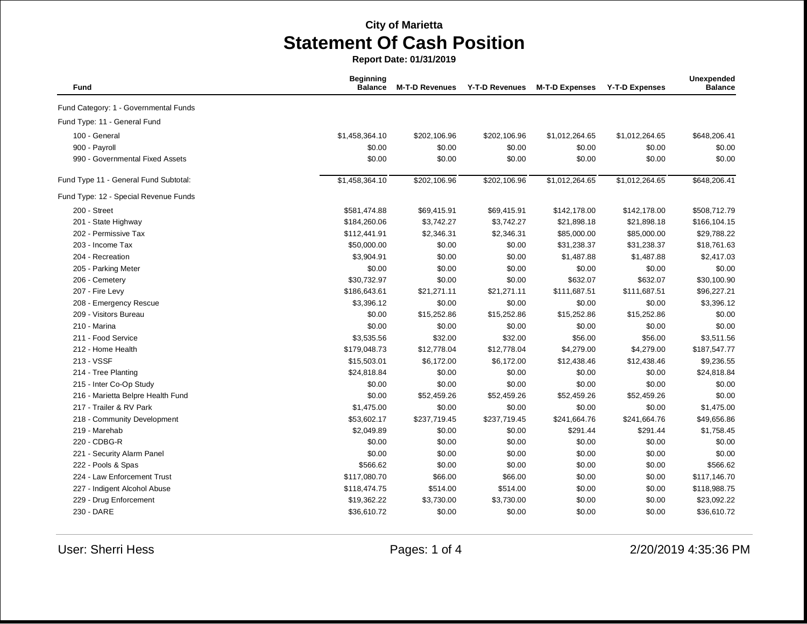**Report Date: 01/31/2019**

| Fund                                  | <b>Beginning</b><br><b>Balance</b> | <b>M-T-D Revenues</b> | <b>Y-T-D Revenues</b> | <b>M-T-D Expenses</b> | <b>Y-T-D Expenses</b> | Unexpended<br><b>Balance</b> |
|---------------------------------------|------------------------------------|-----------------------|-----------------------|-----------------------|-----------------------|------------------------------|
| Fund Category: 1 - Governmental Funds |                                    |                       |                       |                       |                       |                              |
| Fund Type: 11 - General Fund          |                                    |                       |                       |                       |                       |                              |
| 100 - General                         | \$1,458,364.10                     | \$202,106.96          | \$202,106.96          | \$1,012,264.65        | \$1,012,264.65        | \$648,206.41                 |
| 900 - Payroll                         | \$0.00                             | \$0.00                | \$0.00                | \$0.00                | \$0.00                | \$0.00                       |
| 990 - Governmental Fixed Assets       | \$0.00                             | \$0.00                | \$0.00                | \$0.00                | \$0.00                | \$0.00                       |
| Fund Type 11 - General Fund Subtotal: | \$1,458,364.10                     | \$202,106.96          | \$202,106.96          | \$1,012,264.65        | \$1,012,264.65        | \$648,206.41                 |
| Fund Type: 12 - Special Revenue Funds |                                    |                       |                       |                       |                       |                              |
| 200 - Street                          | \$581,474.88                       | \$69,415.91           | \$69,415.91           | \$142,178.00          | \$142,178.00          | \$508,712.79                 |
| 201 - State Highway                   | \$184,260.06                       | \$3,742.27            | \$3,742.27            | \$21,898.18           | \$21,898.18           | \$166,104.15                 |
| 202 - Permissive Tax                  | \$112,441.91                       | \$2,346.31            | \$2,346.31            | \$85,000.00           | \$85,000.00           | \$29,788.22                  |
| 203 - Income Tax                      | \$50,000.00                        | \$0.00                | \$0.00                | \$31,238.37           | \$31,238.37           | \$18,761.63                  |
| 204 - Recreation                      | \$3,904.91                         | \$0.00                | \$0.00                | \$1,487.88            | \$1,487.88            | \$2,417.03                   |
| 205 - Parking Meter                   | \$0.00                             | \$0.00                | \$0.00                | \$0.00                | \$0.00                | \$0.00                       |
| 206 - Cemetery                        | \$30,732.97                        | \$0.00                | \$0.00                | \$632.07              | \$632.07              | \$30,100.90                  |
| 207 - Fire Levy                       | \$186,643.61                       | \$21,271.11           | \$21,271.11           | \$111,687.51          | \$111,687.51          | \$96,227.21                  |
| 208 - Emergency Rescue                | \$3,396.12                         | \$0.00                | \$0.00                | \$0.00                | \$0.00                | \$3,396.12                   |
| 209 - Visitors Bureau                 | \$0.00                             | \$15,252.86           | \$15,252.86           | \$15,252.86           | \$15,252.86           | \$0.00                       |
| 210 - Marina                          | \$0.00                             | \$0.00                | \$0.00                | \$0.00                | \$0.00                | \$0.00                       |
| 211 - Food Service                    | \$3,535.56                         | \$32.00               | \$32.00               | \$56.00               | \$56.00               | \$3,511.56                   |
| 212 - Home Health                     | \$179,048.73                       | \$12,778.04           | \$12,778.04           | \$4,279.00            | \$4,279.00            | \$187,547.77                 |
| 213 - VSSF                            | \$15,503.01                        | \$6,172.00            | \$6,172.00            | \$12,438.46           | \$12,438.46           | \$9,236.55                   |
| 214 - Tree Planting                   | \$24,818.84                        | \$0.00                | \$0.00                | \$0.00                | \$0.00                | \$24,818.84                  |
| 215 - Inter Co-Op Study               | \$0.00                             | \$0.00                | \$0.00                | \$0.00                | \$0.00                | \$0.00                       |
| 216 - Marietta Belpre Health Fund     | \$0.00                             | \$52,459.26           | \$52,459.26           | \$52,459.26           | \$52,459.26           | \$0.00                       |
| 217 - Trailer & RV Park               | \$1,475.00                         | \$0.00                | \$0.00                | \$0.00                | \$0.00                | \$1,475.00                   |
| 218 - Community Development           | \$53,602.17                        | \$237,719.45          | \$237,719.45          | \$241,664.76          | \$241,664.76          | \$49,656.86                  |
| 219 - Marehab                         | \$2,049.89                         | \$0.00                | \$0.00                | \$291.44              | \$291.44              | \$1,758.45                   |
| 220 - CDBG-R                          | \$0.00                             | \$0.00                | \$0.00                | \$0.00                | \$0.00                | \$0.00                       |
| 221 - Security Alarm Panel            | \$0.00                             | \$0.00                | \$0.00                | \$0.00                | \$0.00                | \$0.00                       |
| 222 - Pools & Spas                    | \$566.62                           | \$0.00                | \$0.00                | \$0.00                | \$0.00                | \$566.62                     |
| 224 - Law Enforcement Trust           | \$117,080.70                       | \$66.00               | \$66.00               | \$0.00                | \$0.00                | \$117,146.70                 |
| 227 - Indigent Alcohol Abuse          | \$118,474.75                       | \$514.00              | \$514.00              | \$0.00                | \$0.00                | \$118,988.75                 |
| 229 - Drug Enforcement                | \$19,362.22                        | \$3,730.00            | \$3,730.00            | \$0.00                | \$0.00                | \$23,092.22                  |
| 230 - DARE                            | \$36,610.72                        | \$0.00                | \$0.00                | \$0.00                | \$0.00                | \$36,610.72                  |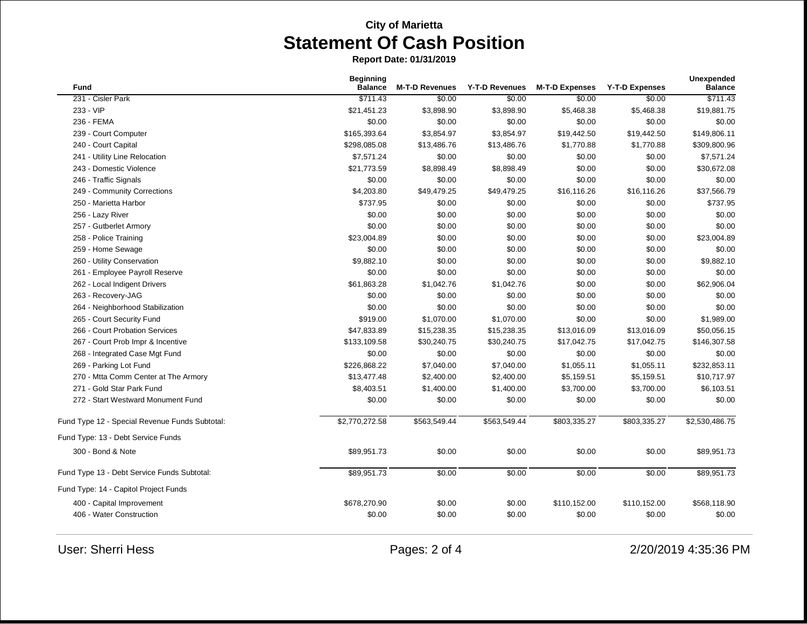**Report Date: 01/31/2019**

| <b>Fund</b>                                    | <b>Beginning</b><br><b>Balance</b> | <b>M-T-D Revenues</b> | <b>Y-T-D Revenues</b> | <b>M-T-D Expenses</b> | <b>Y-T-D Expenses</b> | Unexpended<br><b>Balance</b> |
|------------------------------------------------|------------------------------------|-----------------------|-----------------------|-----------------------|-----------------------|------------------------------|
| 231 - Cisler Park                              | \$711.43                           | \$0.00                | \$0.00                | \$0.00                | \$0.00                | \$711.43                     |
| 233 - VIP                                      | \$21,451.23                        | \$3,898.90            | \$3,898.90            | \$5,468.38            | \$5,468.38            | \$19,881.75                  |
| 236 - FEMA                                     | \$0.00                             | \$0.00                | \$0.00                | \$0.00                | \$0.00                | \$0.00                       |
| 239 - Court Computer                           | \$165,393.64                       | \$3,854.97            | \$3,854.97            | \$19,442.50           | \$19,442.50           | \$149,806.11                 |
| 240 - Court Capital                            | \$298,085.08                       | \$13,486.76           | \$13,486.76           | \$1,770.88            | \$1,770.88            | \$309,800.96                 |
| 241 - Utility Line Relocation                  | \$7,571.24                         | \$0.00                | \$0.00                | \$0.00                | \$0.00                | \$7,571.24                   |
| 243 - Domestic Violence                        | \$21.773.59                        | \$8,898.49            | \$8,898.49            | \$0.00                | \$0.00                | \$30,672.08                  |
| 246 - Traffic Signals                          | \$0.00                             | \$0.00                | \$0.00                | \$0.00                | \$0.00                | \$0.00                       |
| 249 - Community Corrections                    | \$4,203.80                         | \$49,479.25           | \$49,479.25           | \$16,116.26           | \$16,116.26           | \$37,566.79                  |
| 250 - Marietta Harbor                          | \$737.95                           | \$0.00                | \$0.00                | \$0.00                | \$0.00                | \$737.95                     |
| 256 - Lazy River                               | \$0.00                             | \$0.00                | \$0.00                | \$0.00                | \$0.00                | \$0.00                       |
| 257 - Gutberlet Armory                         | \$0.00                             | \$0.00                | \$0.00                | \$0.00                | \$0.00                | \$0.00                       |
| 258 - Police Training                          | \$23,004.89                        | \$0.00                | \$0.00                | \$0.00                | \$0.00                | \$23,004.89                  |
| 259 - Home Sewage                              | \$0.00                             | \$0.00                | \$0.00                | \$0.00                | \$0.00                | \$0.00                       |
| 260 - Utility Conservation                     | \$9,882.10                         | \$0.00                | \$0.00                | \$0.00                | \$0.00                | \$9,882.10                   |
| 261 - Employee Payroll Reserve                 | \$0.00                             | \$0.00                | \$0.00                | \$0.00                | \$0.00                | \$0.00                       |
| 262 - Local Indigent Drivers                   | \$61,863.28                        | \$1,042.76            | \$1,042.76            | \$0.00                | \$0.00                | \$62,906.04                  |
| 263 - Recovery-JAG                             | \$0.00                             | \$0.00                | \$0.00                | \$0.00                | \$0.00                | \$0.00                       |
| 264 - Neighborhood Stabilization               | \$0.00                             | \$0.00                | \$0.00                | \$0.00                | \$0.00                | \$0.00                       |
| 265 - Court Security Fund                      | \$919.00                           | \$1,070.00            | \$1,070.00            | \$0.00                | \$0.00                | \$1,989.00                   |
| 266 - Court Probation Services                 | \$47,833.89                        | \$15,238.35           | \$15,238.35           | \$13,016.09           | \$13,016.09           | \$50,056.15                  |
| 267 - Court Prob Impr & Incentive              | \$133,109.58                       | \$30,240.75           | \$30,240.75           | \$17,042.75           | \$17,042.75           | \$146,307.58                 |
| 268 - Integrated Case Mgt Fund                 | \$0.00                             | \$0.00                | \$0.00                | \$0.00                | \$0.00                | \$0.00                       |
| 269 - Parking Lot Fund                         | \$226,868.22                       | \$7,040.00            | \$7,040.00            | \$1,055.11            | \$1,055.11            | \$232,853.11                 |
| 270 - Mtta Comm Center at The Armory           | \$13,477.48                        | \$2,400.00            | \$2,400.00            | \$5,159.51            | \$5,159.51            | \$10,717.97                  |
| 271 - Gold Star Park Fund                      | \$8,403.51                         | \$1,400.00            | \$1,400.00            | \$3,700.00            | \$3,700.00            | \$6,103.51                   |
| 272 - Start Westward Monument Fund             | \$0.00                             | \$0.00                | \$0.00                | \$0.00                | \$0.00                | \$0.00                       |
| Fund Type 12 - Special Revenue Funds Subtotal: | \$2,770,272.58                     | \$563,549.44          | \$563,549.44          | \$803,335.27          | \$803,335.27          | \$2,530,486.75               |
| Fund Type: 13 - Debt Service Funds             |                                    |                       |                       |                       |                       |                              |
| 300 - Bond & Note                              | \$89,951.73                        | \$0.00                | \$0.00                | \$0.00                | \$0.00                | \$89,951.73                  |
| Fund Type 13 - Debt Service Funds Subtotal:    | \$89,951.73                        | \$0.00                | \$0.00                | \$0.00                | \$0.00                | \$89,951.73                  |
| Fund Type: 14 - Capitol Project Funds          |                                    |                       |                       |                       |                       |                              |
| 400 - Capital Improvement                      | \$678,270.90                       | \$0.00                | \$0.00                | \$110,152.00          | \$110,152.00          | \$568,118.90                 |
| 406 - Water Construction                       | \$0.00                             | \$0.00                | \$0.00                | \$0.00                | \$0.00                | \$0.00                       |

User: Sherri Hess 2001 2/20/2019 4:35:36 PM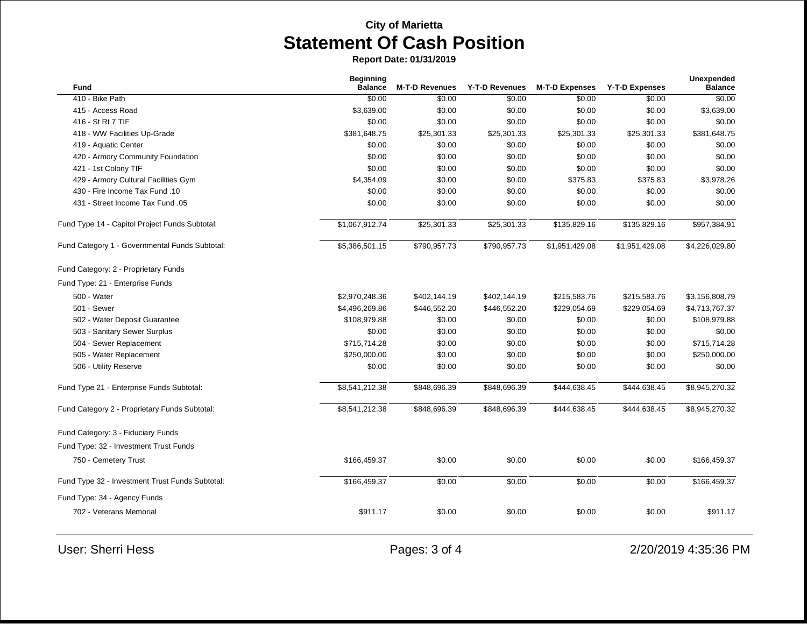**Report Date: 01/31/2019**

| <b>Fund</b>                                     | <b>Beginning</b><br><b>Balance</b> | <b>M-T-D Revenues</b> | Y-T-D Revenues | <b>M-T-D Expenses</b> | <b>Y-T-D Expenses</b> | Unexpended<br><b>Balance</b> |
|-------------------------------------------------|------------------------------------|-----------------------|----------------|-----------------------|-----------------------|------------------------------|
| 410 - Bike Path                                 | \$0.00                             | \$0.00                | \$0.00         | \$0.00                | \$0.00                | \$0.00                       |
| 415 - Access Road                               | \$3,639.00                         | \$0.00                | \$0.00         | \$0.00                | \$0.00                | \$3,639.00                   |
| 416 - St Rt 7 TIF                               | \$0.00                             | \$0.00                | \$0.00         | \$0.00                | \$0.00                | \$0.00                       |
| 418 - WW Facilities Up-Grade                    | \$381,648.75                       | \$25,301.33           | \$25,301.33    | \$25,301.33           | \$25,301.33           | \$381,648.75                 |
| 419 - Aquatic Center                            | \$0.00                             | \$0.00                | \$0.00         | \$0.00                | \$0.00                | \$0.00                       |
| 420 - Armory Community Foundation               | \$0.00                             | \$0.00                | \$0.00         | \$0.00                | \$0.00                | \$0.00                       |
| 421 - 1st Colony TIF                            | \$0.00                             | \$0.00                | \$0.00         | \$0.00                | \$0.00                | \$0.00                       |
| 429 - Armory Cultural Facilities Gym            | \$4,354.09                         | \$0.00                | \$0.00         | \$375.83              | \$375.83              | \$3,978.26                   |
| 430 - Fire Income Tax Fund .10                  | \$0.00                             | \$0.00                | \$0.00         | \$0.00                | \$0.00                | \$0.00                       |
| 431 - Street Income Tax Fund .05                | \$0.00                             | \$0.00                | \$0.00         | \$0.00                | \$0.00                | \$0.00                       |
| Fund Type 14 - Capitol Project Funds Subtotal:  | \$1,067,912.74                     | \$25,301.33           | \$25,301.33    | \$135,829.16          | \$135,829.16          | \$957,384.91                 |
| Fund Category 1 - Governmental Funds Subtotal:  | \$5,386,501.15                     | \$790,957.73          | \$790,957.73   | \$1,951,429.08        | \$1,951,429.08        | \$4,226,029.80               |
| Fund Category: 2 - Proprietary Funds            |                                    |                       |                |                       |                       |                              |
| Fund Type: 21 - Enterprise Funds                |                                    |                       |                |                       |                       |                              |
| 500 - Water                                     | \$2,970,248.36                     | \$402,144.19          | \$402,144.19   | \$215,583.76          | \$215,583.76          | \$3,156,808.79               |
| 501 - Sewer                                     | \$4,496,269.86                     | \$446,552.20          | \$446,552.20   | \$229,054.69          | \$229,054.69          | \$4,713,767.37               |
| 502 - Water Deposit Guarantee                   | \$108,979.88                       | \$0.00                | \$0.00         | \$0.00                | \$0.00                | \$108,979.88                 |
| 503 - Sanitary Sewer Surplus                    | \$0.00                             | \$0.00                | \$0.00         | \$0.00                | \$0.00                | \$0.00                       |
| 504 - Sewer Replacement                         | \$715,714.28                       | \$0.00                | \$0.00         | \$0.00                | \$0.00                | \$715,714.28                 |
| 505 - Water Replacement                         | \$250,000.00                       | \$0.00                | \$0.00         | \$0.00                | \$0.00                | \$250,000.00                 |
| 506 - Utility Reserve                           | \$0.00                             | \$0.00                | \$0.00         | \$0.00                | \$0.00                | \$0.00                       |
| Fund Type 21 - Enterprise Funds Subtotal:       | \$8,541,212.38                     | \$848,696.39          | \$848,696.39   | \$444,638.45          | \$444,638.45          | \$8,945,270.32               |
| Fund Category 2 - Proprietary Funds Subtotal:   | \$8,541,212.38                     | \$848,696.39          | \$848,696.39   | \$444,638.45          | \$444,638.45          | \$8,945,270.32               |
| Fund Category: 3 - Fiduciary Funds              |                                    |                       |                |                       |                       |                              |
| Fund Type: 32 - Investment Trust Funds          |                                    |                       |                |                       |                       |                              |
| 750 - Cemetery Trust                            | \$166,459.37                       | \$0.00                | \$0.00         | \$0.00                | \$0.00                | \$166,459.37                 |
| Fund Type 32 - Investment Trust Funds Subtotal: | \$166,459.37                       | \$0.00                | \$0.00         | \$0.00                | \$0.00                | \$166,459.37                 |
| Fund Type: 34 - Agency Funds                    |                                    |                       |                |                       |                       |                              |
| 702 - Veterans Memorial                         | \$911.17                           | \$0.00                | \$0.00         | \$0.00                | \$0.00                | \$911.17                     |